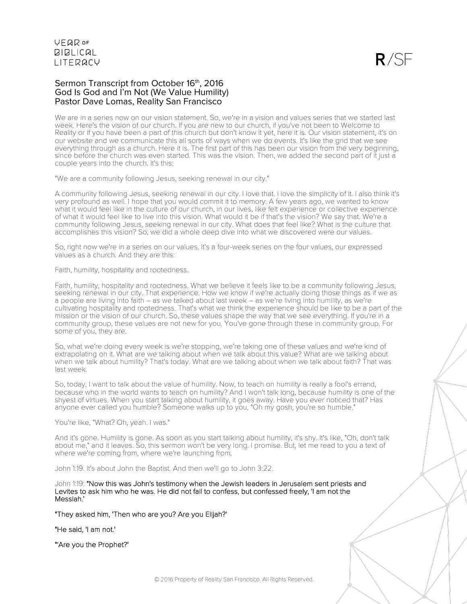$R/SF$ 

### Sermon Transcript from October 16th, 2016 God Is God and I'm Not (We Value Humility) Pastor Dave Lomas, Reality San Francisco

We are in a series now on our vision statement. So, we're in a vision and values series that we started last week. Here's the vision of our church. If you are new to our church, if you've not been to Welcome to Reality or if you have been a part of this church but don't know it yet, here it is. Our vision statement, it's on our website and we communicate this all sorts of ways when we do events. It's like the grid that we see everything through as a church. Here it is. The first part of this has been our vision from the very beginning, since before the church was even started. This was the vision. Then, we added the second part of it just a couple years into the church. It's this:

"We are a community following Jesus, seeking renewal in our city."

A community following Jesus, seeking renewal in our city. I love that. I love the simplicity of it. I also think it's very profound as well. I hope that you would commit it to memory. A few years ago, we wanted to know what it would feel like in the culture of our church, in our lives, like felt experience or collective experience of what it would feel like to live into this vision. What would it be if that's the vision? We say that. We're a community following Jesus, seeking renewal in our city. What does that feel like? What is the culture that accomplishes this vision? So, we did a whole deep dive into what we discovered were our values.

So, right now we're in a series on our values. It's a four-week series on the four values, our expressed values as a church. And they are this:

Faith, humility, hospitality and rootedness.

Faith, humility, hospitality and rootedness. What we believe it feels like to be a community following Jesus, seeking renewal in our city. That experience. How we know if we're actually doing those things as if we as a people are living into faith – as we talked about last week – as we're living into humility, as we're cultivating hospitality and rootedness. That's what we think the experience should be like to be a part of the mission or the vision of our church. So, these values shape the way that we see everything. If you're in a community group, these values are not new for you. You've gone through these in community group. For some of you, they are.

So, what we're doing every week is we're stopping, we're taking one of these values and we're kind of extrapolating on it. What are we talking about when we talk about this value? What are we talking about when we talk about humility? That's today. What are we talking about when we talk about faith? That was last week.

So, today, I want to talk about the value of humility. Now, to teach on humility is really a fool's errand, because who in the world wants to teach on humility? And I won't talk long, because humility is one of the shyest of virtues. When you start talking about humility, it goes away. Have you ever noticed that? Has anyone ever called you humble? Someone walks up to you, "Oh my gosh, you're so humble."

You're like, "What? Oh, yeah. I was."

And it's gone. Humility is gone. As soon as you start talking about humility, it's shy. It's like, "Oh, don't talk about me," and it leaves. So, this sermon won't be very long. I promise. But, let me read to you a text of where we're coming from, where we're launching from.

John 1:19. It's about John the Baptist. And then we'll go to John 3:22.

John 1:19: "Now this was John's testimony when the Jewish leaders in Jerusalem sent priests and Levites to ask him who he was. He did not fail to confess, but confessed freely, 'I am not the Messiah.'

"They asked him, 'Then who are you? Are you Elijah?'

"He said, 'I am not.'

"'Are you the Prophet?'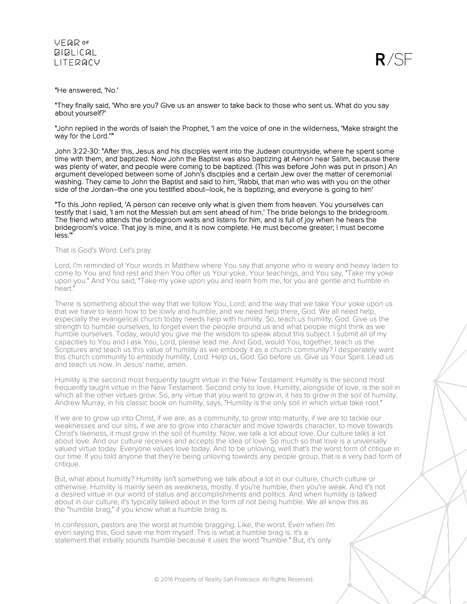

#### "He answered, 'No.'

"They finally said, 'Who are you? Give us an answer to take back to those who sent us. What do you say about yourself?'

"John replied in the words of Isaiah the Prophet, 'I am the voice of one in the wilderness, 'Make straight the way for the Lord.''"

John 3:22-30: "After this, Jesus and his disciples went into the Judean countryside, where he spent some time with them, and baptized. Now John the Baptist was also baptizing at Aenon near Salim, because there was plenty of water, and people were coming to be baptized. (This was before John was put in prison.) An argument developed between some of John's disciples and a certain Jew over the matter of ceremonial washing. They came to John the Baptist and said to him, 'Rabbi, that man who was with you on the other side of the Jordan–the one you testified about–look, he is baptizing, and everyone is going to him'

"To this John replied, 'A person can receive only what is given them from heaven. You yourselves can testify that I said, 'I am not the Messiah but am sent ahead of him.' The bride belongs to the bridegroom. The friend who attends the bridegroom waits and listens for him, and is full of joy when he hears the bridegroom's voice. That joy is mine, and it is now complete. He must become greater; I must become less.'"

### That is God's Word. Let's pray.

Lord, I'm reminded of Your words in Matthew where You say that anyone who is weary and heavy laden to come to You and find rest and then You offer us Your yoke, Your teachings, and You say, "Take my yoke upon you." And You said, "Take my yoke upon you and learn from me, for you are gentle and humble in heart."

There is something about the way that we follow You, Lord, and the way that we take Your yoke upon us that we have to learn how to be lowly and humble, and we need help there, God. We all need help, especially the evangelical church today needs help with humility. So, teach us humility, God. Give us the strength to humble ourselves, to forget even the people around us and what people might think as we humble ourselves. Today, would you give me the wisdom to speak about this subject. I submit all of my capacities to You and I ask You, Lord, please lead me. And God, would You, together, teach us the Scriptures and teach us this value of humility as we embody it as a church community? I desperately want this church community to embody humility, Lord. Help us, God. Go before us. Give us Your Spirit. Lead us and teach us now. In Jesus' name, amen.

Humility is the second most frequently taught virtue in the New Testament. Humility is the second most frequently taught virtue in the New Testament. Second only to love. Humility, alongside of love, is the soil in which all the other virtues grow. So, any virtue that you want to grow in, it has to grow in the soil of humility. Andrew Murray, in his classic book on humility, says, "Humility is the only soil in which virtue take root."

If we are to grow up into Christ, if we are, as a community, to grow into maturity, if we are to tackle our weaknesses and our sins, if we are to grow into character and move towards character, to move towards Christ's likeness, it must grow in the soil of humility. Now, we talk a lot about love. Our culture talks a lot about love. And our culture receives and accepts the idea of love. So much so that love is a universally valued virtue today. Everyone values love today. And to be unloving, well that's the worst form of critique in our time. If you told anyone that they're being unloving towards any people group, that is a very bad form of critique.

But, what about humility? Humility isn't something we talk about a lot in our culture, church culture or otherwise. Humility is mainly seen as weakness, mostly. If you're humble, then you're weak. And it's not a desired virtue in our world of status and accomplishments and politics. And when humility is talked about in our culture, it's typically talked about in the form of not being humble. We all know this as the "humble brag," if you know what a humble brag is.

In confession, pastors are the worst at humble bragging. Like, the worst. Even when I'm even saying this, God save me from myself. This is what a humble brag is: it's a statement that initially sounds humble because it uses the word "humble." But, it's only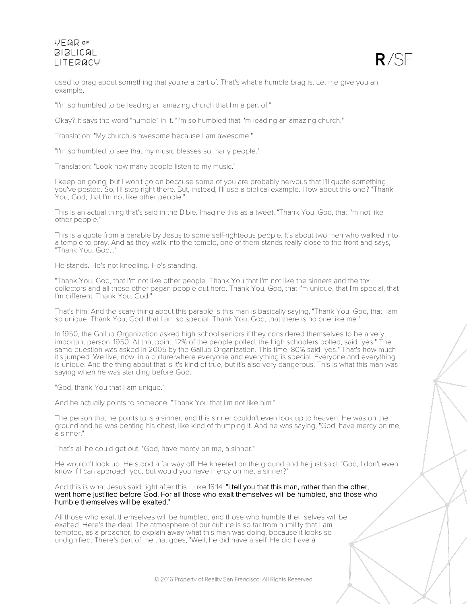

used to brag about something that you're a part of. That's what a humble brag is. Let me give you an example.

"I'm so humbled to be leading an amazing church that I'm a part of."

Okay? It says the word "humble" in it. "I'm so humbled that I'm leading an amazing church."

Translation: "My church is awesome because I am awesome."

"I'm so humbled to see that my music blesses so many people."

Translation: "Look how many people listen to my music."

I keep on going, but I won't go on because some of you are probably nervous that I'll quote something you've posted. So, I'll stop right there. But, instead, I'll use a biblical example. How about this one? "Thank You, God, that I'm not like other people."

This is an actual thing that's said in the Bible. Imagine this as a tweet. "Thank You, God, that I'm not like other people."

This is a quote from a parable by Jesus to some self-righteous people. It's about two men who walked into a temple to pray. And as they walk into the temple, one of them stands really close to the front and says, "Thank You, God..."

He stands. He's not kneeling. He's standing.

"Thank You, God, that I'm not like other people. Thank You that I'm not like the sinners and the tax collectors and all these other pagan people out here. Thank You, God, that I'm unique, that I'm special, that I'm different. Thank You, God."

That's him. And the scary thing about this parable is this man is basically saying, "Thank You, God, that I am so unique. Thank You, God, that I am so special. Thank You, God, that there is no one like me."

In 1950, the Gallup Organization asked high school seniors if they considered themselves to be a very important person. 1950. At that point, 12% of the people polled, the high schoolers polled, said "yes." The same question was asked in 2005 by the Gallup Organization. This time, 80% said "yes." That's how much it's jumped. We live, now, in a culture where everyone and everything is special. Everyone and everything is unique. And the thing about that is it's kind of true, but it's also very dangerous. This is what this man was saying when he was standing before God:

"God, thank You that I am unique."

And he actually points to someone. "Thank You that I'm not like him."

The person that he points to is a sinner, and this sinner couldn't even look up to heaven. He was on the ground and he was beating his chest, like kind of thumping it. And he was saying, "God, have mercy on me, a sinner."

That's all he could get out. "God, have mercy on me, a sinner."

He wouldn't look up. He stood a far way off. He kneeled on the ground and he just said, "God, I don't even know if I can approach you, but would you have mercy on me, a sinner?"

And this is what Jesus said right after this. Luke 18:14: "I tell you that this man, rather than the other, went home justified before God. For all those who exalt themselves will be humbled, and those who humble themselves will be exalted."

All those who exalt themselves will be humbled, and those who humble themselves will be exalted. Here's the deal. The atmosphere of our culture is so far from humility that I am tempted, as a preacher, to explain away what this man was doing, because it looks so undignified. There's part of me that goes, "Well, he did have a self. He did have a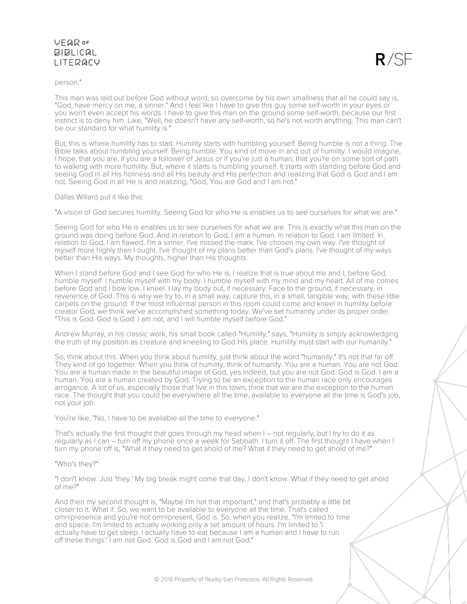### person."

This man was laid out before God without word, so overcome by his own smallness that all he could say is, "God, have mercy on me, a sinner." And I feel like I have to give this guy some self-worth in your eyes or you won't even accept his words. I have to give this man on the ground some self-worth, because our first instinct is to deny him. Like, "Well, he doesn't have any self-worth, so he's not worth anything. This man can't be our standard for what humility is."

 $R/SF$ 

But, this is where humility has to start. Humility starts with humbling yourself. Being humble is not a thing. The Bible talks about humbling yourself. Being humble. You kind of move in and out of humility. I would imagine, I hope, that you are, if you are a follower of Jesus or if you're just a human, that you're on some sort of path to walking with more humility. But, where it starts is humbling yourself. It starts with standing before God and seeing God in all His holiness and all His beauty and His perfection and realizing that God is God and I am not. Seeing God in all He is and realizing, "God, You are God and I am not."

Dallas Willard put it like this:

"A vision of God secures humility. Seeing God for who He is enables us to see ourselves for what we are."

Seeing God for who He is enables us to see ourselves for what we are. This is exactly what this man on the ground was doing before God. And in relation to God, I am a human. In relation to God, I am limited. In relation to God, I am flawed. I'm a sinner. I've missed the mark. I've chosen my own way. I've thought of myself more highly than I ought. I've thought of my plans better than God's plans. I've thought of my ways better than His ways. My thoughts, higher than His thoughts.

When I stand before God and I see God for who He is, I realize that is true about me and I, before God, humble myself. I humble myself with my body. I humble myself with my mind and my heart. All of me comes before God and I bow low. I kneel. I lay my body out, if necessary. Face to the ground, if necessary, in reverence of God. This is why we try to, in a small way, capture this, in a small, tangible way, with these little carpets on the ground. If the most influential person in this room could come and kneel in humility before creator God, we think we've accomplished something today. We've set humanity under its proper order. "This is God. God is God. I am not, and I will humble myself before God."

Andrew Murray, in his classic work, his small book called "Humility," says, "Humility is simply acknowledging the truth of my position as creature and kneeling to God His place. Humility must start with our humanity."

So, think about this. When you think about humility, just think about the word "humanity." It's not that far off. They kind of go together. When you think of humility, think of humanity. You are a human. You are not God. You are a human made in the beautiful image of God, yes indeed, but you are not God. God is God. I am a human. You are a human created by God. Trying to be an exception to the human race only encourages arrogance. A lot of us, especially those that live in this town, think that we are the exception to the human race. The thought that you could be everywhere all the time, available to everyone all the time is God's job, not your job.

You're like, "No, I have to be available all the time to everyone."

That's actually the first thought that goes through my head when I – not regularly, but I try to do it as regularly as I can – turn off my phone once a week for Sabbath. I turn it off. The first thought I have when I turn my phone off is, "What if they need to get ahold of me? What if they need to get ahold of me?"

### "Who's they?"

"I don't know. Just 'they.' My big break might come that day. I don't know. What if they need to get ahold of me?"

And then my second thought is, "Maybe I'm not that important," and that's probably a little bit closer to it. What if. So, we want to be available to everyone all the time. That's called omnipresence and you're not omnipresent. God is. So, when you realize, "I'm limited to time and space. I'm limited to actually working only a set amount of hours. I'm limited to 'I actually have to get sleep. I actually have to eat because I am a human and I have to run off these things.' I am not God. God is God and I am not God."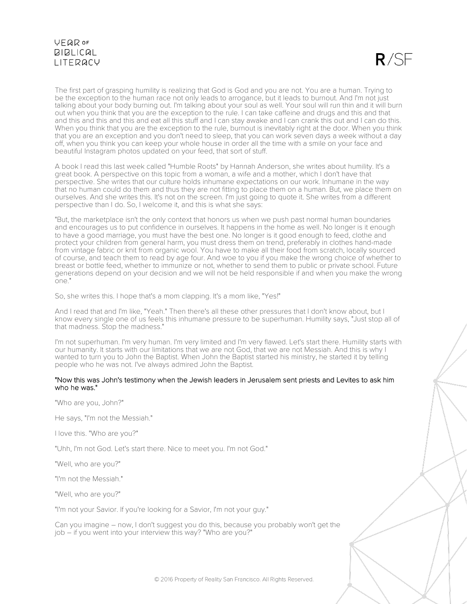$R/SE$ 

The first part of grasping humility is realizing that God is God and you are not. You are a human. Trying to be the exception to the human race not only leads to arrogance, but it leads to burnout. And I'm not just talking about your body burning out. I'm talking about your soul as well. Your soul will run thin and it will burn out when you think that you are the exception to the rule. I can take caffeine and drugs and this and that and this and this and this and eat all this stuff and I can stay awake and I can crank this out and I can do this. When you think that you are the exception to the rule, burnout is inevitably right at the door. When you think that you are an exception and you don't need to sleep, that you can work seven days a week without a day off, when you think you can keep your whole house in order all the time with a smile on your face and beautiful Instagram photos updated on your feed, that sort of stuff.

A book I read this last week called "Humble Roots" by Hannah Anderson, she writes about humility. It's a great book. A perspective on this topic from a woman, a wife and a mother, which I don't have that perspective. She writes that our culture holds inhumane expectations on our work. Inhumane in the way that no human could do them and thus they are not fitting to place them on a human. But, we place them on ourselves. And she writes this. It's not on the screen. I'm just going to quote it. She writes from a different perspective than I do. So, I welcome it, and this is what she says:

"But, the marketplace isn't the only context that honors us when we push past normal human boundaries and encourages us to put confidence in ourselves. It happens in the home as well. No longer is it enough to have a good marriage, you must have the best one. No longer is it good enough to feed, clothe and protect your children from general harm, you must dress them on trend, preferably in clothes hand-made from vintage fabric or knit from organic wool. You have to make all their food from scratch, locally sourced of course, and teach them to read by age four. And woe to you if you make the wrong choice of whether to breast or bottle feed, whether to immunize or not, whether to send them to public or private school. Future generations depend on your decision and we will not be held responsible if and when you make the wrong one."

So, she writes this. I hope that's a mom clapping. It's a mom like, "Yes!"

And I read that and I'm like, "Yeah." Then there's all these other pressures that I don't know about, but I know every single one of us feels this inhumane pressure to be superhuman. Humility says, "Just stop all of that madness. Stop the madness."

I'm not superhuman. I'm very human. I'm very limited and I'm very flawed. Let's start there. Humility starts with our humanity. It starts with our limitations that we are not God, that we are not Messiah. And this is why I wanted to turn you to John the Baptist. When John the Baptist started his ministry, he started it by telling people who he was not. I've always admired John the Baptist.

#### "Now this was John's testimony when the Jewish leaders in Jerusalem sent priests and Levites to ask him who he was."

"Who are you, John?"

He says, "I'm not the Messiah."

I love this. "Who are you?"

"Uhh, I'm not God. Let's start there. Nice to meet you. I'm not God."

"Well, who are you?"

"I'm not the Messiah."

"Well, who are you?"

"I'm not your Savior. If you're looking for a Savior, I'm not your guy."

Can you imagine – now, I don't suggest you do this, because you probably won't get the job – if you went into your interview this way? "Who are you?"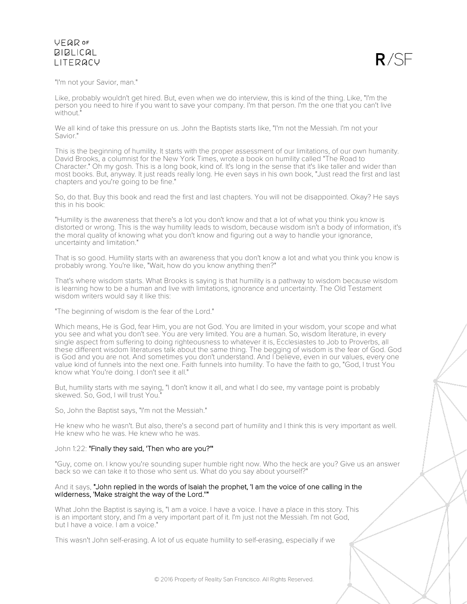

"I'm not your Savior, man."

Like, probably wouldn't get hired. But, even when we do interview, this is kind of the thing. Like, "I'm the person you need to hire if you want to save your company. I'm that person. I'm the one that you can't live without."

We all kind of take this pressure on us. John the Baptists starts like, "I'm not the Messiah. I'm not your Savior."

This is the beginning of humility. It starts with the proper assessment of our limitations, of our own humanity. David Brooks, a columnist for the New York Times, wrote a book on humility called "The Road to Character." Oh my gosh. This is a long book, kind of. It's long in the sense that it's like taller and wider than most books. But, anyway. It just reads really long. He even says in his own book, "Just read the first and last chapters and you're going to be fine."

So, do that. Buy this book and read the first and last chapters. You will not be disappointed. Okay? He says this in his book:

"Humility is the awareness that there's a lot you don't know and that a lot of what you think you know is distorted or wrong. This is the way humility leads to wisdom, because wisdom isn't a body of information, it's the moral quality of knowing what you don't know and figuring out a way to handle your ignorance, uncertainty and limitation."

That is so good. Humility starts with an awareness that you don't know a lot and what you think you know is probably wrong. You're like, "Wait, how do you know anything then?"

That's where wisdom starts. What Brooks is saying is that humility is a pathway to wisdom because wisdom is learning how to be a human and live with limitations, ignorance and uncertainty. The Old Testament wisdom writers would say it like this:

"The beginning of wisdom is the fear of the Lord."

Which means, He is God, fear Him, you are not God. You are limited in your wisdom, your scope and what you see and what you don't see. You are very limited. You are a human. So, wisdom literature, in every single aspect from suffering to doing righteousness to whatever it is, Ecclesiastes to Job to Proverbs, all these different wisdom literatures talk about the same thing. The begging of wisdom is the fear of God. God is God and you are not. And sometimes you don't understand. And I believe, even in our values, every one value kind of funnels into the next one. Faith funnels into humility. To have the faith to go, "God, I trust You know what You're doing. I don't see it all."

But, humility starts with me saying, "I don't know it all, and what I do see, my vantage point is probably skewed. So, God, I will trust You.

So, John the Baptist says, "I'm not the Messiah."

He knew who he wasn't. But also, there's a second part of humility and I think this is very important as well. He knew who he was. He knew who he was.

### John 1:22: "Finally they said, 'Then who are you?'"

"Guy, come on. I know you're sounding super humble right now. Who the heck are you? Give us an answer back so we can take it to those who sent us. What do you say about yourself?"

### And it says, "John replied in the words of Isaiah the prophet, 'I am the voice of one calling in the wilderness, 'Make straight the way of the Lord.''"

What John the Baptist is saying is, "I am a voice. I have a voice. I have a place in this story. This is an important story, and I'm a very important part of it. I'm just not the Messiah. I'm not God, but I have a voice. I am a voice."

This wasn't John self-erasing. A lot of us equate humility to self-erasing, especially if we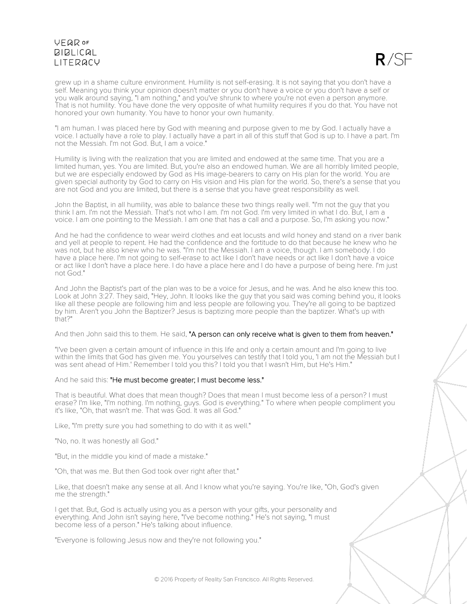

grew up in a shame culture environment. Humility is not self-erasing. It is not saying that you don't have a self. Meaning you think your opinion doesn't matter or you don't have a voice or you don't have a self or you walk around saying, "I am nothing," and you've shrunk to where you're not even a person anymore. That is not humility. You have done the very opposite of what humility requires if you do that. You have not honored your own humanity. You have to honor your own humanity.

"I am human. I was placed here by God with meaning and purpose given to me by God. I actually have a voice. I actually have a role to play. I actually have a part in all of this stuff that God is up to. I have a part. I'm not the Messiah. I'm not God. But, I am a voice."

Humility is living with the realization that you are limited and endowed at the same time. That you are a limited human, yes. You are limited. But, you're also an endowed human. We are all horribly limited people, but we are especially endowed by God as His image-bearers to carry on His plan for the world. You are given special authority by God to carry on His vision and His plan for the world. So, there's a sense that you are not God and you are limited, but there is a sense that you have great responsibility as well.

John the Baptist, in all humility, was able to balance these two things really well. "I'm not the guy that you think I am. I'm not the Messiah. That's not who I am. I'm not God. I'm very limited in what I do. But, I am a voice. I am one pointing to the Messiah. I am one that has a call and a purpose. So, I'm asking you now."

And he had the confidence to wear weird clothes and eat locusts and wild honey and stand on a river bank and yell at people to repent. He had the confidence and the fortitude to do that because he knew who he was not, but he also knew who he was. "I'm not the Messiah. I am a voice, though. I am somebody. I do have a place here. I'm not going to self-erase to act like I don't have needs or act like I don't have a voice or act like I don't have a place here. I do have a place here and I do have a purpose of being here. I'm just not God."

And John the Baptist's part of the plan was to be a voice for Jesus, and he was. And he also knew this too. Look at John 3:27. They said, "Hey, John. It looks like the guy that you said was coming behind you, it looks like all these people are following him and less people are following you. They're all going to be baptized by him. Aren't you John the Baptizer? Jesus is baptizing more people than the baptizer. What's up with that?"

And then John said this to them. He said, "A person can only receive what is given to them from heaven."

"I've been given a certain amount of influence in this life and only a certain amount and I'm going to live within the limits that God has given me. You yourselves can testify that I told you, 'I am not the Messiah but I was sent ahead of Him.' Remember I told you this? I told you that I wasn't Him, but He's Him."

And he said this: "He must become greater; I must become less."

That is beautiful. What does that mean though? Does that mean I must become less of a person? I must erase? I'm like, "I'm nothing. I'm nothing, guys. God is everything." To where when people compliment you it's like, "Oh, that wasn't me. That was God. It was all God."

Like, "I'm pretty sure you had something to do with it as well."

"No, no. It was honestly all God."

"But, in the middle you kind of made a mistake."

"Oh, that was me. But then God took over right after that."

Like, that doesn't make any sense at all. And I know what you're saying. You're like, "Oh, God's given me the strength."

I get that. But, God is actually using you as a person with your gifts, your personality and everything. And John isn't saying here, "I've become nothing." He's not saying, "I must become less of a person." He's talking about influence.

"Everyone is following Jesus now and they're not following you."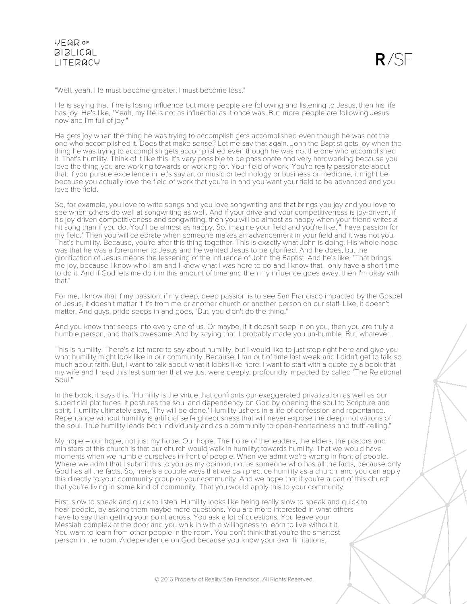

"Well, yeah. He must become greater; I must become less."

He is saying that if he is losing influence but more people are following and listening to Jesus, then his life has joy. He's like, "Yeah, my life is not as influential as it once was. But, more people are following Jesus now and I'm full of joy."

He gets joy when the thing he was trying to accomplish gets accomplished even though he was not the one who accomplished it. Does that make sense? Let me say that again. John the Baptist gets joy when the thing he was trying to accomplish gets accomplished even though he was not the one who accomplished it. That's humility. Think of it like this. It's very possible to be passionate and very hardworking because you love the thing you are working towards or working for. Your field of work. You're really passionate about that. If you pursue excellence in let's say art or music or technology or business or medicine, it might be because you actually love the field of work that you're in and you want your field to be advanced and you love the field.

So, for example, you love to write songs and you love songwriting and that brings you joy and you love to see when others do well at songwriting as well. And if your drive and your competitiveness is joy-driven, if it's joy-driven competitiveness and songwriting, then you will be almost as happy when your friend writes a hit song than if you do. You'll be almost as happy. So, imagine your field and you're like, "I have passion for my field." Then you will celebrate when someone makes an advancement in your field and it was not you. That's humility. Because, you're after this thing together. This is exactly what John is doing. His whole hope was that he was a forerunner to Jesus and he wanted Jesus to be glorified. And he does, but the glorification of Jesus means the lessening of the influence of John the Baptist. And he's like, "That brings me joy, because I know who I am and I knew what I was here to do and I know that I only have a short time to do it. And if God lets me do it in this amount of time and then my influence goes away, then I'm okay with that."

For me, I know that if my passion, if my deep, deep passion is to see San Francisco impacted by the Gospel of Jesus, it doesn't matter if it's from me or another church or another person on our staff. Like, it doesn't matter. And guys, pride seeps in and goes, "But, you didn't do the thing."

And you know that seeps into every one of us. Or maybe, if it doesn't seep in on you, then you are truly a humble person, and that's awesome. And by saying that, I probably made you un-humble. But, whatever.

This is humility. There's a lot more to say about humility, but I would like to just stop right here and give you what humility might look like in our community. Because, I ran out of time last week and I didn't get to talk so much about faith. But, I want to talk about what it looks like here. I want to start with a quote by a book that my wife and I read this last summer that we just were deeply, profoundly impacted by called "The Relational Soul."

In the book, it says this: "Humility is the virtue that confronts our exaggerated privatization as well as our superficial platitudes. It postures the soul and dependency on God by opening the soul to Scripture and spirit. Humility ultimately says, 'Thy will be done.' Humility ushers in a life of confession and repentance. Repentance without humility is artificial self-righteousness that will never expose the deep motivations of the soul. True humility leads both individually and as a community to open-heartedness and truth-telling."

My hope – our hope, not just my hope. Our hope. The hope of the leaders, the elders, the pastors and ministers of this church is that our church would walk in humility; towards humility. That we would have moments when we humble ourselves in front of people. When we admit we're wrong in front of people. Where we admit that I submit this to you as my opinion, not as someone who has all the facts, because only God has all the facts. So, here's a couple ways that we can practice humility as a church, and you can apply this directly to your community group or your community. And we hope that if you're a part of this church that you're living in some kind of community. That you would apply this to your community.

First, slow to speak and quick to listen. Humility looks like being really slow to speak and quick to hear people, by asking them maybe more questions. You are more interested in what others have to say than getting your point across. You ask a lot of questions. You leave your Messiah complex at the door and you walk in with a willingness to learn to live without it. You want to learn from other people in the room. You don't think that you're the smartest person in the room. A dependence on God because you know your own limitations.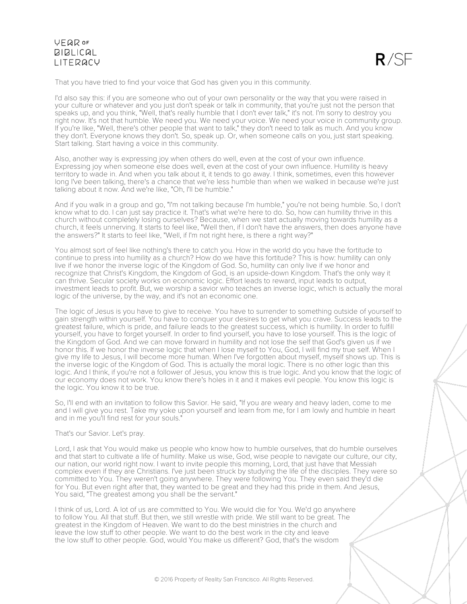

That you have tried to find your voice that God has given you in this community.

I'd also say this: if you are someone who out of your own personality or the way that you were raised in your culture or whatever and you just don't speak or talk in community, that you're just not the person that speaks up, and you think, "Well, that's really humble that I don't ever talk," it's not. I'm sorry to destroy you right now. It's not that humble. We need you. We need your voice. We need your voice in community group. If you're like, "Well, there's other people that want to talk," they don't need to talk as much. And you know they don't. Everyone knows they don't. So, speak up. Or, when someone calls on you, just start speaking. Start talking. Start having a voice in this community.

Also, another way is expressing joy when others do well, even at the cost of your own influence. Expressing joy when someone else does well, even at the cost of your own influence. Humility is heavy territory to wade in. And when you talk about it, it tends to go away. I think, sometimes, even this however long I've been talking, there's a chance that we're less humble than when we walked in because we're just talking about it now. And we're like, "Oh, I'll be humble."

And if you walk in a group and go, "I'm not talking because I'm humble," you're not being humble. So, I don't know what to do. I can just say practice it. That's what we're here to do. So, how can humility thrive in this church without completely losing ourselves? Because, when we start actually moving towards humility as a church, it feels unnerving. It starts to feel like, "Well then, if I don't have the answers, then does anyone have the answers?" It starts to feel like, "Well, if I'm not right here, is there a right way?"

You almost sort of feel like nothing's there to catch you. How in the world do you have the fortitude to continue to press into humility as a church? How do we have this fortitude? This is how: humility can only live if we honor the inverse logic of the Kingdom of God. So, humility can only live if we honor and recognize that Christ's Kingdom, the Kingdom of God, is an upside-down Kingdom. That's the only way it can thrive. Secular society works on economic logic. Effort leads to reward, input leads to output, investment leads to profit. But, we worship a savior who teaches an inverse logic, which is actually the moral logic of the universe, by the way, and it's not an economic one.

The logic of Jesus is you have to give to receive. You have to surrender to something outside of yourself to gain strength within yourself. You have to conquer your desires to get what you crave. Success leads to the greatest failure, which is pride, and failure leads to the greatest success, which is humility. In order to fulfill yourself, you have to forget yourself. In order to find yourself, you have to lose yourself. This is the logic of the Kingdom of God. And we can move forward in humility and not lose the self that God's given us if we honor this. If we honor the inverse logic that when I lose myself to You, God, I will find my true self. When I give my life to Jesus, I will become more human. When I've forgotten about myself, myself shows up. This is the inverse logic of the Kingdom of God. This is actually the moral logic. There is no other logic than this logic. And I think, if you're not a follower of Jesus, you know this is true logic. And you know that the logic of our economy does not work. You know there's holes in it and it makes evil people. You know this logic is the logic. You know it to be true.

So, I'll end with an invitation to follow this Savior. He said, "If you are weary and heavy laden, come to me and I will give you rest. Take my yoke upon yourself and learn from me, for I am lowly and humble in heart and in me you'll find rest for your souls."

#### That's our Savior. Let's pray.

Lord, I ask that You would make us people who know how to humble ourselves, that do humble ourselves and that start to cultivate a life of humility. Make us wise, God, wise people to navigate our culture, our city, our nation, our world right now. I want to invite people this morning, Lord, that just have that Messiah complex even if they are Christians. I've just been struck by studying the life of the disciples. They were so committed to You. They weren't going anywhere. They were following You. They even said they'd die for You. But even right after that, they wanted to be great and they had this pride in them. And Jesus, You said, "The greatest among you shall be the servant."

I think of us, Lord. A lot of us are committed to You. We would die for You. We'd go anywhere to follow You. All that stuff. But then, we still wrestle with pride. We still want to be great. The greatest in the Kingdom of Heaven. We want to do the best ministries in the church and leave the low stuff to other people. We want to do the best work in the city and leave the low stuff to other people. God, would You make us different? God, that's the wisdom